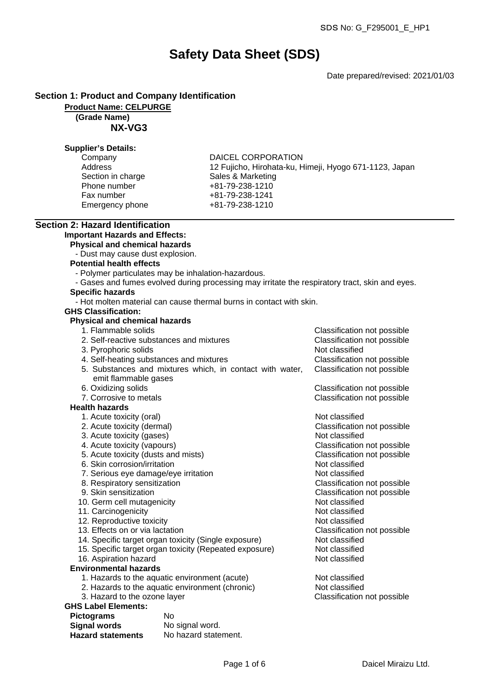# **Safety Data Sheet (SDS)**

Date prepared/revised: 2021/01/03

## **Section 1: Product and Company Identification**

#### **Product Name: CELPURGE**

**(Grade Name)**

**NX-VG3**

#### **Supplier's Details:**

| Company           |  |
|-------------------|--|
| Address           |  |
| Section in charge |  |
| Phone number      |  |
| Fax number        |  |
| Emergency phone   |  |

DAICEL CORPORATION 12 Fujicho, Hirohata-ku, Himeji, Hyogo 671-1123, Japan Sales & Marketing Phone number +81-79-238-1210 Fax number +81-79-238-1241 Emergency phone +81-79-238-1210

# **Section 2: Hazard Identification**

## **Important Hazards and Effects:**

**Physical and chemical hazards**

- Dust may cause dust explosion.

#### **Potential health effects**

- Polymer particulates may be inhalation-hazardous.
- Gases and fumes evolved during processing may irritate the respiratory tract, skin and eyes.

## **Specific hazards**

- Hot molten material can cause thermal burns in contact with skin.

#### **GHS Classification:**

#### **Physical and chemical hazards**

- 1. Flammable solids Classification not possible
- 2. Self-reactive substances and mixtures Classification not possible 3. Pyrophoric solids Not classified 4. Self-heating substances and mixtures Classification not possible 5. Substances and mixtures which, in contact with water, emit flammable gases Classification not possible 6. Oxidizing solids Classification not possible 7. Corrosive to metals Classification not possible

#### **Health hazards**

- 1. Acute toxicity (oral) and the contract of the Not classified
- 2. Acute toxicity (dermal) Classification not possible
- 3. Acute toxicity (gases) Not classified
- 4. Acute toxicity (vapours) Classification not possible
- 5. Acute toxicity (dusts and mists) Classification not possible
- 6. Skin corrosion/irritation Not classified
- 7. Serious eye damage/eye irritation Not classified
- 8. Respiratory sensitization and the Classification not possible 9. Skin sensitization controller controller controller classification not possible  $\blacksquare$
- 
- 10. Germ cell mutagenicity
- 11. Carcinogenicity **Note 20** and 20 and 20 and 20 and 20 and 20 and 20 and 20 and 20 and 20 and 20 and 20 and 20 and 20 and 20 and 20 and 20 and 20 and 20 and 20 and 20 and 20 and 20 and 20 and 20 and 20 and 20 and 20 and
- 12. Reproductive toxicity and the set of the Not classified
- 13. Effects on or via lactation Classification not possible
- 14. Specific target organ toxicity (Single exposure) Not classified
- 15. Specific target organ toxicity (Repeated exposure) Not classified
- 16. Aspiration hazard Not classified
- **Environmental hazards**
	- 1. Hazards to the aquatic environment (acute) Not classified
	- 2. Hazards to the aquatic environment (chronic) Not classified
	- 3. Hazard to the ozone layer Classification not possible

## **GHS Label Elements:**

| <b>Pictograms</b>        | N٥                   |
|--------------------------|----------------------|
| <b>Signal words</b>      | No signal word.      |
| <b>Hazard statements</b> | No hazard statement. |

Classification not possible<br>Not classified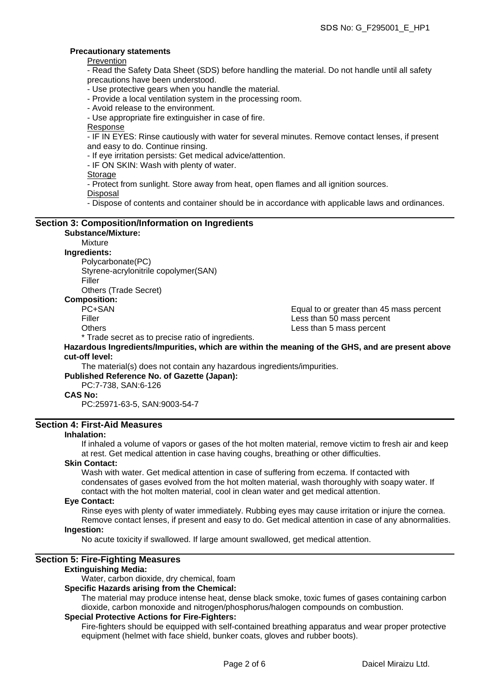#### **Precautionary statements**

Prevention

- Read the Safety Data Sheet (SDS) before handling the material. Do not handle until all safety precautions have been understood.

- Use protective gears when you handle the material.

- Provide a local ventilation system in the processing room.
- Avoid release to the environment.

- Use appropriate fire extinguisher in case of fire.

Response

- IF IN EYES: Rinse cautiously with water for several minutes. Remove contact lenses, if present and easy to do. Continue rinsing.

- If eye irritation persists: Get medical advice/attention.

- IF ON SKIN: Wash with plenty of water.

**Storage** 

- Protect from sunlight. Store away from heat, open flames and all ignition sources.

Disposal

- Dispose of contents and container should be in accordance with applicable laws and ordinances.

#### **Section 3: Composition/Information on Ingredients Substance/Mixture:**

## Mixture

## **Ingredients:**

Polycarbonate(PC) Styrene-acrylonitrile copolymer(SAN) Filler

Others (Trade Secret)

## **Composition:**

PC+SAN Equal to or greater than 45 mass percent Filler **Example 20** mass percent and the Less than 50 mass percent Others **Contract Contract Contract Contract Contract Contract Contract Contract Contract Contract Contract Contract Contract Contract Contract Contract Contract Contract Contract Contract Contract Contract Contract Contrac** 

\* Trade secret as to precise ratio of ingredients.

**Hazardous Ingredients/Impurities, which are within the meaning of the GHS, and are present above cut-off level:**

The material(s) does not contain any hazardous ingredients/impurities.

**Published Reference No. of Gazette (Japan):**

#### PC:7-738, SAN:6-126 **CAS No:**

PC:25971-63-5, SAN:9003-54-7

### **Section 4: First-Aid Measures**

#### **Inhalation:**

If inhaled a volume of vapors or gases of the hot molten material, remove victim to fresh air and keep at rest. Get medical attention in case having coughs, breathing or other difficulties.

### **Skin Contact:**

Wash with water. Get medical attention in case of suffering from eczema. If contacted with condensates of gases evolved from the hot molten material, wash thoroughly with soapy water. If contact with the hot molten material, cool in clean water and get medical attention.

#### **Eye Contact:**

Rinse eyes with plenty of water immediately. Rubbing eyes may cause irritation or injure the cornea. Remove contact lenses, if present and easy to do. Get medical attention in case of any abnormalities.

#### **Ingestion:**

No acute toxicity if swallowed. If large amount swallowed, get medical attention.

### **Section 5: Fire-Fighting Measures**

#### **Extinguishing Media:**

Water, carbon dioxide, dry chemical, foam

## **Specific Hazards arising from the Chemical:**

The material may produce intense heat, dense black smoke, toxic fumes of gases containing carbon dioxide, carbon monoxide and nitrogen/phosphorus/halogen compounds on combustion.

## **Special Protective Actions for Fire-Fighters:**

Fire-fighters should be equipped with self-contained breathing apparatus and wear proper protective equipment (helmet with face shield, bunker coats, gloves and rubber boots).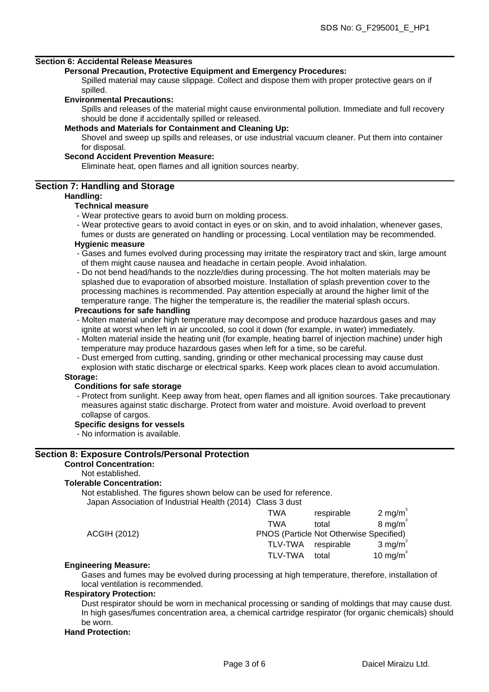#### **Section 6: Accidental Release Measures**

#### **Personal Precaution, Protective Equipment and Emergency Procedures:**

Spilled material may cause slippage. Collect and dispose them with proper protective gears on if spilled.

#### **Environmental Precautions:**

Spills and releases of the material might cause environmental pollution. Immediate and full recovery should be done if accidentally spilled or released.

#### **Methods and Materials for Containment and Cleaning Up:**

Shovel and sweep up spills and releases, or use industrial vacuum cleaner. Put them into container for disposal.

#### **Second Accident Prevention Measure:**

Eliminate heat, open flames and all ignition sources nearby.

#### **Section 7: Handling and Storage**

#### **Handling:**

#### **Technical measure**

- Wear protective gears to avoid burn on molding process.
- Wear protective gears to avoid contact in eyes or on skin, and to avoid inhalation, whenever gases,

fumes or dusts are generated on handling or processing. Local ventilation may be recommended. **Hygienic measure**

- Gases and fumes evolved during processing may irritate the respiratory tract and skin, large amount of them might cause nausea and headache in certain people. Avoid inhalation.
- Do not bend head/hands to the nozzle/dies during processing. The hot molten materials may be splashed due to evaporation of absorbed moisture. Installation of splash prevention cover to the processing machines is recommended. Pay attention especially at around the higher limit of the temperature range. The higher the temperature is, the readilier the material splash occurs.

#### **Precautions for safe handling**

- Molten material under high temperature may decompose and produce hazardous gases and may ignite at worst when left in air uncooled, so cool it down (for example, in water) immediately.
- Molten material inside the heating unit (for example, heating barrel of injection machine) under high temperature may produce hazardous gases when left for a time, so be careful.
- Dust emerged from cutting, sanding, grinding or other mechanical processing may cause dust explosion with static discharge or electrical sparks. Keep work places clean to avoid accumulation.

#### **Storage:**

#### **Conditions for safe storage**

- Protect from sunlight. Keep away from heat, open flames and all ignition sources. Take precautionary measures against static discharge. Protect from water and moisture. Avoid overload to prevent collapse of cargos.

#### **Specific designs for vessels**

- No information is available.

## **Section 8: Exposure Controls/Personal Protection**

## **Control Concentration:**

## Not established.

## **Tolerable Concentration:**

Not established. The figures shown below can be used for reference.

| Japan Association of Industrial Health (2014) Class 3 dust |                |                                         |                    |
|------------------------------------------------------------|----------------|-----------------------------------------|--------------------|
|                                                            | TWA            | respirable                              | $2 \text{ mg/m}^3$ |
|                                                            | <b>TWA</b>     | total                                   | $8 \text{ mg/m}^3$ |
| <b>ACGIH (2012)</b>                                        |                | PNOS (Particle Not Otherwise Specified) |                    |
|                                                            | <b>TLV-TWA</b> | respirable                              | $3 \text{ mg/m}^3$ |
|                                                            | <b>TLV-TWA</b> | total                                   | 10 mg/m $3$        |
|                                                            |                |                                         |                    |

#### **Engineering Measure:**

Gases and fumes may be evolved during processing at high temperature, therefore, installation of local ventilation is recommended.

#### **Respiratory Protection:**

Dust respirator should be worn in mechanical processing or sanding of moldings that may cause dust. In high gases/fumes concentration area, a chemical cartridge respirator (for organic chemicals) should be worn.

#### **Hand Protection:**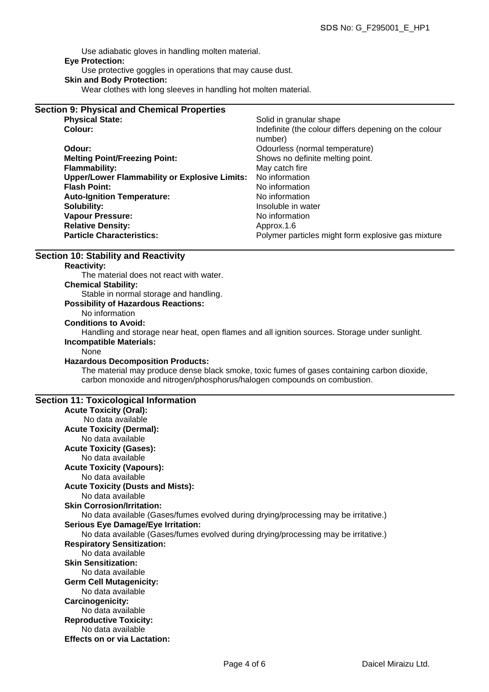Use adiabatic gloves in handling molten material. **Eye Protection:** Use protective goggles in operations that may cause dust.

#### **Skin and Body Protection:**

Wear clothes with long sleeves in handling hot molten material.

| <b>Section 9: Physical and Chemical Properties</b>   |                                                                  |
|------------------------------------------------------|------------------------------------------------------------------|
| <b>Physical State:</b>                               | Solid in granular shape                                          |
| Colour:                                              | Indefinite (the colour differs depening on the colour<br>number) |
| Odour:                                               | Odourless (normal temperature)                                   |
| <b>Melting Point/Freezing Point:</b>                 | Shows no definite melting point.                                 |
| <b>Flammability:</b>                                 | May catch fire                                                   |
| <b>Upper/Lower Flammability or Explosive Limits:</b> | No information                                                   |
| <b>Flash Point:</b>                                  | No information                                                   |
| <b>Auto-Ignition Temperature:</b>                    | No information                                                   |
| Solubility:                                          | Insoluble in water                                               |
| <b>Vapour Pressure:</b>                              | No information                                                   |
| <b>Relative Density:</b>                             | Approx.1.6                                                       |
| <b>Particle Characteristics:</b>                     | Polymer particles might form explosive gas mixture               |

## **Section 10: Stability and Reactivity**

#### **Reactivity:**

The material does not react with water.

**Chemical Stability:**

Stable in normal storage and handling.

#### **Possibility of Hazardous Reactions:**

# No information

## **Conditions to Avoid:**

Handling and storage near heat, open flames and all ignition sources. Storage under sunlight. **Incompatible Materials:**

None

#### **Hazardous Decomposition Products:**

The material may produce dense black smoke, toxic fumes of gases containing carbon dioxide, carbon monoxide and nitrogen/phosphorus/halogen compounds on combustion.

#### **Section 11: Toxicological Information**

| <b>Acute Toxicity (Oral):</b>                                                       |  |
|-------------------------------------------------------------------------------------|--|
| No data available                                                                   |  |
| <b>Acute Toxicity (Dermal):</b>                                                     |  |
| No data available                                                                   |  |
| <b>Acute Toxicity (Gases):</b>                                                      |  |
| No data available                                                                   |  |
| <b>Acute Toxicity (Vapours):</b>                                                    |  |
| No data available                                                                   |  |
| <b>Acute Toxicity (Dusts and Mists):</b>                                            |  |
| No data available                                                                   |  |
| <b>Skin Corrosion/Irritation:</b>                                                   |  |
| No data available (Gases/fumes evolved during drying/processing may be irritative.) |  |
| <b>Serious Eye Damage/Eye Irritation:</b>                                           |  |
| No data available (Gases/fumes evolved during drying/processing may be irritative.) |  |
| <b>Respiratory Sensitization:</b>                                                   |  |
| No data available                                                                   |  |
| <b>Skin Sensitization:</b>                                                          |  |
| No data available                                                                   |  |
| <b>Germ Cell Mutagenicity:</b>                                                      |  |
| No data available                                                                   |  |
| <b>Carcinogenicity:</b>                                                             |  |
| No data available                                                                   |  |
| <b>Reproductive Toxicity:</b>                                                       |  |
| No data available                                                                   |  |
| <b>Effects on or via Lactation:</b>                                                 |  |
|                                                                                     |  |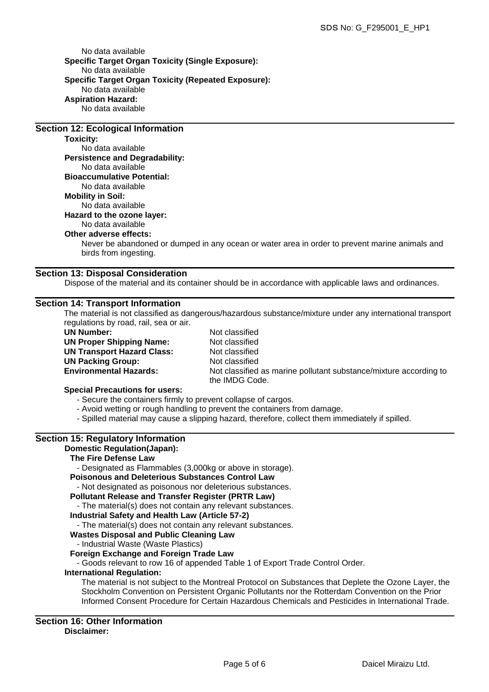No data available **Specific Target Organ Toxicity (Single Exposure):** No data available **Specific Target Organ Toxicity (Repeated Exposure):** No data available **Aspiration Hazard:** No data available

#### **Section 12: Ecological Information**

**Toxicity:**

No data available **Persistence and Degradability:** No data available **Bioaccumulative Potential:** No data available **Mobility in Soil:** No data available **Hazard to the ozone layer:** No data available **Other adverse effects:**

Never be abandoned or dumped in any ocean or water area in order to prevent marine animals and birds from ingesting.

#### **Section 13: Disposal Consideration**

Dispose of the material and its container should be in accordance with applicable laws and ordinances.

#### **Section 14: Transport Information**

The material is not classified as dangerous/hazardous substance/mixture under any international transport regulations by road, rail, sea or air.

**UN Number:** Not classified **UN Proper Shipping Name:** Not classified **UN Transport Hazard Class:** Not classified **UN Packing Group:** Not classified

**Environmental Hazards:** Not classified as marine pollutant substance/mixture according to the IMDG Code.

#### **Special Precautions for users:**

- Secure the containers firmly to prevent collapse of cargos.

- Avoid wetting or rough handling to prevent the containers from damage.
- Spilled material may cause a slipping hazard, therefore, collect them immediately if spilled.

### **Section 15: Regulatory Information**

#### **Domestic Regulation(Japan):**

#### **The Fire Defense Law**

- Designated as Flammables (3,000kg or above in storage).

#### **Poisonous and Deleterious Substances Control Law**

- Not designated as poisonous nor deleterious substances.

#### **Pollutant Release and Transfer Register (PRTR Law)**

- The material(s) does not contain any relevant substances.

### **Industrial Safety and Health Law (Article 57-2)**

- The material(s) does not contain any relevant substances.

#### **Wastes Disposal and Public Cleaning Law**

#### - Industrial Waste (Waste Plastics)

#### **Foreign Exchange and Foreign Trade Law**

- Goods relevant to row 16 of appended Table 1 of Export Trade Control Order.

#### **International Regulation:**

The material is not subject to the Montreal Protocol on Substances that Deplete the Ozone Layer, the Stockholm Convention on Persistent Organic Pollutants nor the Rotterdam Convention on the Prior Informed Consent Procedure for Certain Hazardous Chemicals and Pesticides in International Trade.

#### **Section 16: Other Information Disclaimer:**